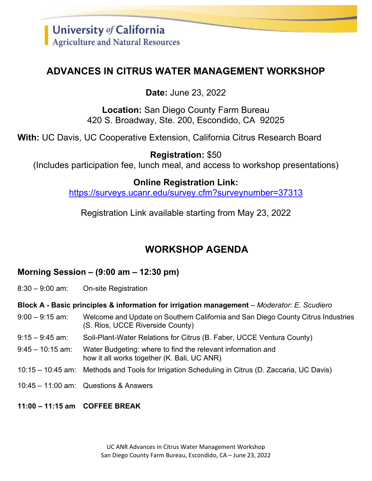## **ADVANCES IN CITRUS WATER MANAGEMENT WORKSHOP**

**Date:** June 23, 2022

**Location:** San Diego County Farm Bureau 420 S. Broadway, Ste. 200, Escondido, CA 92025

**With:** UC Davis, UC Cooperative Extension, California Citrus Research Board

**Registration:** \$50 (Includes participation fee, lunch meal, and access to workshop presentations)

## **Online Registration Link:**

<https://surveys.ucanr.edu/survey.cfm?surveynumber=37313>

Registration Link available starting from May 23, 2022

# **WORKSHOP AGENDA**

## **Morning Session – (9:00 am – 12:30 pm)**

8:30 – 9:00 am: On-site Registration

**Block A - Basic principles & information for irrigation management** – *Moderator: E. Scudiero* 

- 9:00 9:15 am: Welcome and Update on Southern California and San Diego County Citrus Industries (S. Rios, UCCE Riverside County)
- 9:15 9:45 am: Soil-Plant-Water Relations for Citrus (B. Faber, UCCE Ventura County)
- 9:45 10:15 am: Water Budgeting: where to find the relevant information and how it all works together (K. Bali, UC ANR)
- 10:15 10:45 am: Methods and Tools for Irrigation Scheduling in Citrus (D. Zaccaria, UC Davis)
- 10:45 11:00 am: Questions & Answers
- **11:00 – 11:15 am COFFEE BREAK**